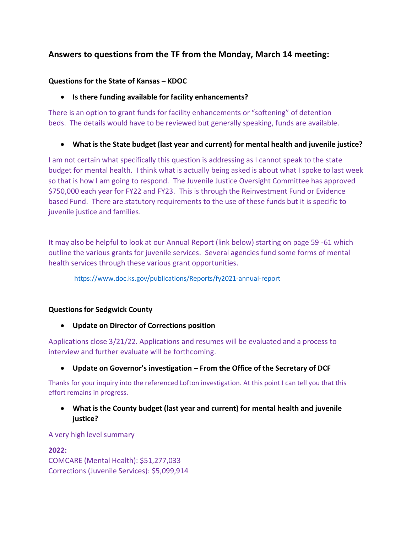# **Answers to questions from the TF from the Monday, March 14 meeting:**

## **Questions for the State of Kansas – KDOC**

### **Is there funding available for facility enhancements?**

There is an option to grant funds for facility enhancements or "softening" of detention beds. The details would have to be reviewed but generally speaking, funds are available.

**What is the State budget (last year and current) for mental health and juvenile justice?**

I am not certain what specifically this question is addressing as I cannot speak to the state budget for mental health. I think what is actually being asked is about what I spoke to last week so that is how I am going to respond. The Juvenile Justice Oversight Committee has approved \$750,000 each year for FY22 and FY23. This is through the Reinvestment Fund or Evidence based Fund. There are statutory requirements to the use of these funds but it is specific to juvenile justice and families.

It may also be helpful to look at our Annual Report (link below) starting on page 59 -61 which outline the various grants for juvenile services. Several agencies fund some forms of mental health services through these various grant opportunities.

[https://www.doc.ks.gov/publications/Reports/fy2021-annual-report](https://urldefense.com/v3/__https:/www.doc.ks.gov/publications/Reports/fy2021-annual-report__;!!PmSSphtYFKaJtA!CocW7ac66dqBzWwGH2haAXN_OLuiLg4GNpH6vMpg-fybfEu7GSQo-GV0Ub4MKBDcKjunJL8$)

#### **Questions for Sedgwick County**

**Update on Director of Corrections position**

Applications close 3/21/22. Applications and resumes will be evaluated and a process to interview and further evaluate will be forthcoming.

**Update on Governor's investigation – From the Office of the Secretary of DCF** 

Thanks for your inquiry into the referenced Lofton investigation. At this point I can tell you that this effort remains in progress.

 **What is the County budget (last year and current) for mental health and juvenile justice?**

A very high level summary

**2022:** COMCARE (Mental Health): \$51,277,033 Corrections (Juvenile Services): \$5,099,914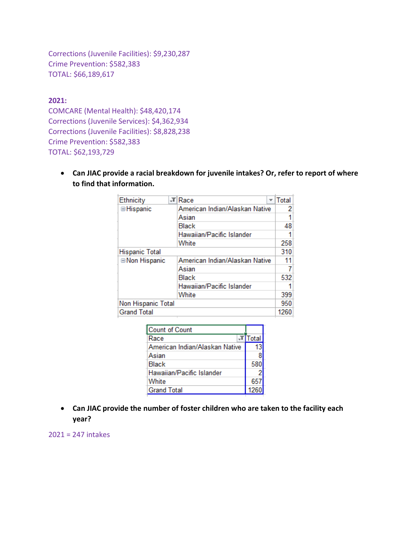Corrections (Juvenile Facilities): \$9,230,287 Crime Prevention: \$582,383 TOTAL: \$66,189,617

#### **2021:**

COMCARE (Mental Health): \$48,420,174 Corrections (Juvenile Services): \$4,362,934 Corrections (Juvenile Facilities): \$8,828,238 Crime Prevention: \$582,383 TOTAL: \$62,193,729

 **Can JIAC provide a racial breakdown for juvenile intakes? Or, refer to report of where to find that information.** 

| Ethnicity             |  | 'IRace                         |  | Total |
|-----------------------|--|--------------------------------|--|-------|
| <b>⊟Hispanic</b>      |  | American Indian/Alaskan Native |  | 2     |
|                       |  | Asian                          |  |       |
|                       |  | Black                          |  | 48    |
|                       |  | Hawaiian/Pacific Islander      |  |       |
|                       |  | White                          |  | 258   |
| <b>Hispanic Total</b> |  |                                |  | 310   |
| <b>■Non Hispanic</b>  |  | American Indian/Alaskan Native |  | 11    |
|                       |  | Asian                          |  |       |
|                       |  | <b>Black</b>                   |  | 532   |
|                       |  | Hawaiian/Pacific Islander      |  |       |
|                       |  | White                          |  | 399   |
| Non Hispanic Total    |  |                                |  | 950   |
| <b>Grand Total</b>    |  |                                |  | 1260  |

| Count of Count                 |       |  |
|--------------------------------|-------|--|
| Race                           | Total |  |
| American Indian/Alaskan Native | 13    |  |
| Asian                          |       |  |
| <b>Black</b>                   | 580   |  |
| Hawaiian/Pacific Islander      |       |  |
| White                          | 657   |  |
| <b>Grand Total</b>             | 1260  |  |

 **Can JIAC provide the number of foster children who are taken to the facility each year?** 

2021 = 247 intakes